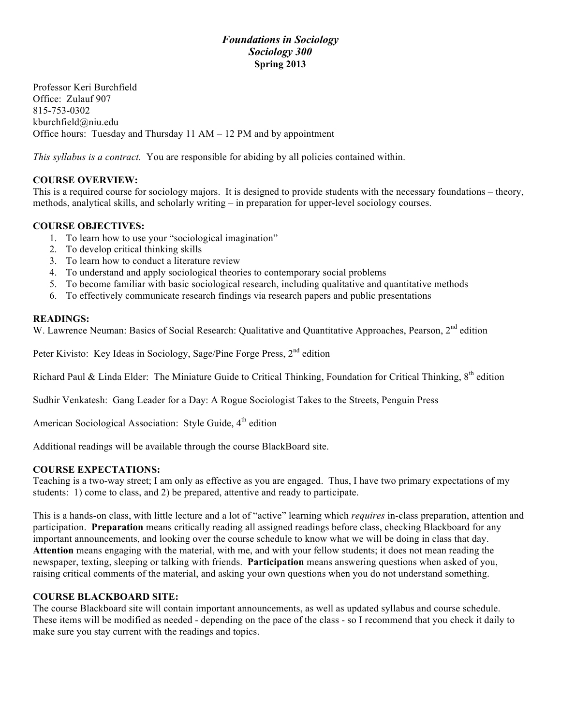# *Foundations in Sociology Sociology 300* **Spring 2013**

Professor Keri Burchfield Office: Zulauf 907 815-753-0302 kburchfield@niu.edu Office hours: Tuesday and Thursday 11 AM – 12 PM and by appointment

*This syllabus is a contract.* You are responsible for abiding by all policies contained within.

# **COURSE OVERVIEW:**

This is a required course for sociology majors. It is designed to provide students with the necessary foundations – theory, methods, analytical skills, and scholarly writing – in preparation for upper-level sociology courses.

# **COURSE OBJECTIVES:**

- 1. To learn how to use your "sociological imagination"
- 2. To develop critical thinking skills
- 3. To learn how to conduct a literature review
- 4. To understand and apply sociological theories to contemporary social problems
- 5. To become familiar with basic sociological research, including qualitative and quantitative methods
- 6. To effectively communicate research findings via research papers and public presentations

#### **READINGS:**

W. Lawrence Neuman: Basics of Social Research: Qualitative and Quantitative Approaches, Pearson, 2<sup>nd</sup> edition

Peter Kivisto: Key Ideas in Sociology, Sage/Pine Forge Press, 2<sup>nd</sup> edition

Richard Paul & Linda Elder: The Miniature Guide to Critical Thinking, Foundation for Critical Thinking, 8<sup>th</sup> edition

Sudhir Venkatesh: Gang Leader for a Day: A Rogue Sociologist Takes to the Streets, Penguin Press

American Sociological Association: Style Guide,  $4<sup>th</sup>$  edition

Additional readings will be available through the course BlackBoard site.

#### **COURSE EXPECTATIONS:**

Teaching is a two-way street; I am only as effective as you are engaged. Thus, I have two primary expectations of my students: 1) come to class, and 2) be prepared, attentive and ready to participate.

This is a hands-on class, with little lecture and a lot of "active" learning which *requires* in-class preparation, attention and participation. **Preparation** means critically reading all assigned readings before class, checking Blackboard for any important announcements, and looking over the course schedule to know what we will be doing in class that day. **Attention** means engaging with the material, with me, and with your fellow students; it does not mean reading the newspaper, texting, sleeping or talking with friends. **Participation** means answering questions when asked of you, raising critical comments of the material, and asking your own questions when you do not understand something.

# **COURSE BLACKBOARD SITE:**

The course Blackboard site will contain important announcements, as well as updated syllabus and course schedule. These items will be modified as needed - depending on the pace of the class - so I recommend that you check it daily to make sure you stay current with the readings and topics.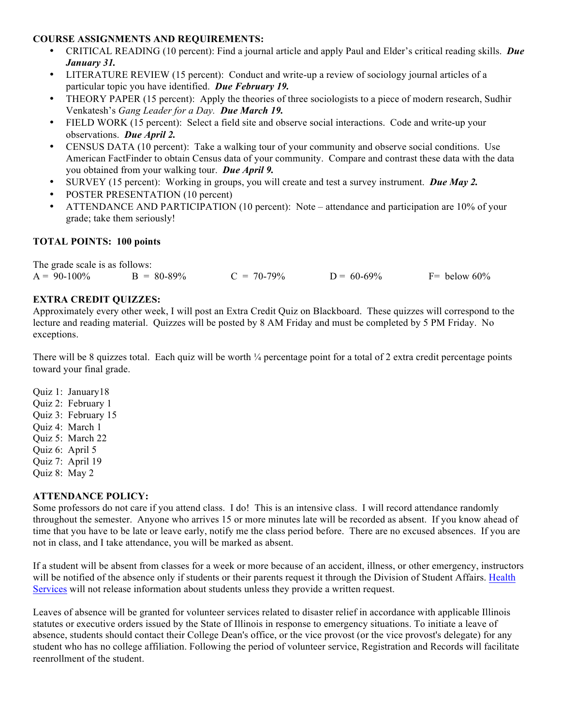#### **COURSE ASSIGNMENTS AND REQUIREMENTS:**

- CRITICAL READING (10 percent): Find a journal article and apply Paul and Elder's critical reading skills. *Due January 31.*
- LITERATURE REVIEW (15 percent): Conduct and write-up a review of sociology journal articles of a particular topic you have identified. *Due February 19.*
- THEORY PAPER (15 percent): Apply the theories of three sociologists to a piece of modern research, Sudhir Venkatesh's *Gang Leader for a Day. Due March 19.*
- FIELD WORK (15 percent): Select a field site and observe social interactions. Code and write-up your observations. *Due April 2.*
- CENSUS DATA (10 percent): Take a walking tour of your community and observe social conditions. Use American FactFinder to obtain Census data of your community. Compare and contrast these data with the data you obtained from your walking tour. *Due April 9.*
- SURVEY (15 percent): Working in groups, you will create and test a survey instrument. *Due May 2.*
- POSTER PRESENTATION (10 percent)
- ATTENDANCE AND PARTICIPATION (10 percent): Note attendance and participation are 10% of your grade; take them seriously!

# **TOTAL POINTS: 100 points**

The grade scale is as follows:  $A = 90-100\%$   $B = 80-89\%$   $C = 70-79\%$   $D = 60-69\%$   $F =$  below 60%

#### **EXTRA CREDIT QUIZZES:**

Approximately every other week, I will post an Extra Credit Quiz on Blackboard. These quizzes will correspond to the lecture and reading material. Quizzes will be posted by 8 AM Friday and must be completed by 5 PM Friday. No exceptions.

There will be 8 quizzes total. Each quiz will be worth  $\frac{1}{4}$  percentage point for a total of 2 extra credit percentage points toward your final grade.

Quiz 1: January18 Quiz 2: February 1 Quiz 3: February 15 Quiz 4: March 1 Quiz 5: March 22 Quiz 6: April 5

- Quiz 7: April 19
- Quiz 8: May 2
- 

# **ATTENDANCE POLICY:**

Some professors do not care if you attend class. I do! This is an intensive class. I will record attendance randomly throughout the semester. Anyone who arrives 15 or more minutes late will be recorded as absent. If you know ahead of time that you have to be late or leave early, notify me the class period before. There are no excused absences. If you are not in class, and I take attendance, you will be marked as absent.

If a student will be absent from classes for a week or more because of an accident, illness, or other emergency, instructors will be notified of the absence only if students or their parents request it through the Division of Student Affairs. Health Services will not release information about students unless they provide a written request.

Leaves of absence will be granted for volunteer services related to disaster relief in accordance with applicable Illinois statutes or executive orders issued by the State of Illinois in response to emergency situations. To initiate a leave of absence, students should contact their College Dean's office, or the vice provost (or the vice provost's delegate) for any student who has no college affiliation. Following the period of volunteer service, Registration and Records will facilitate reenrollment of the student.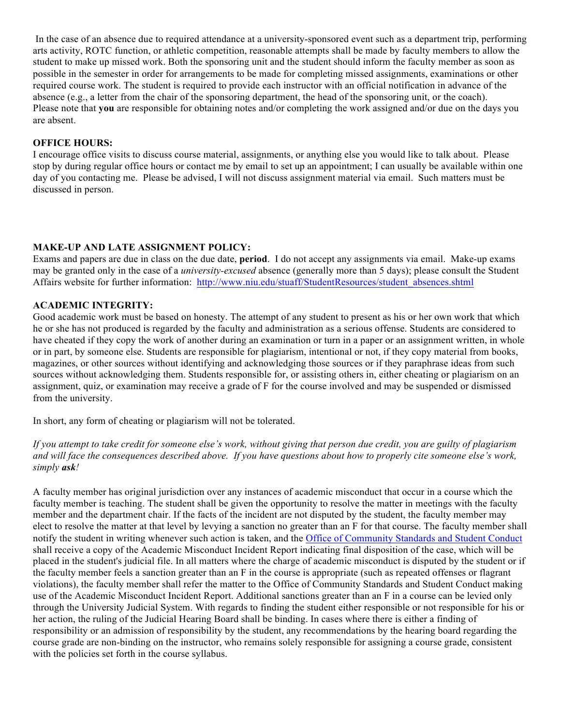In the case of an absence due to required attendance at a university-sponsored event such as a department trip, performing arts activity, ROTC function, or athletic competition, reasonable attempts shall be made by faculty members to allow the student to make up missed work. Both the sponsoring unit and the student should inform the faculty member as soon as possible in the semester in order for arrangements to be made for completing missed assignments, examinations or other required course work. The student is required to provide each instructor with an official notification in advance of the absence (e.g., a letter from the chair of the sponsoring department, the head of the sponsoring unit, or the coach). Please note that **you** are responsible for obtaining notes and/or completing the work assigned and/or due on the days you are absent.

#### **OFFICE HOURS:**

I encourage office visits to discuss course material, assignments, or anything else you would like to talk about. Please stop by during regular office hours or contact me by email to set up an appointment; I can usually be available within one day of you contacting me. Please be advised, I will not discuss assignment material via email. Such matters must be discussed in person.

# **MAKE-UP AND LATE ASSIGNMENT POLICY:**

Exams and papers are due in class on the due date, **period**. I do not accept any assignments via email. Make-up exams may be granted only in the case of a *university-excused* absence (generally more than 5 days); please consult the Student Affairs website for further information: http://www.niu.edu/stuaff/StudentResources/student\_absences.shtml

#### **ACADEMIC INTEGRITY:**

Good academic work must be based on honesty. The attempt of any student to present as his or her own work that which he or she has not produced is regarded by the faculty and administration as a serious offense. Students are considered to have cheated if they copy the work of another during an examination or turn in a paper or an assignment written, in whole or in part, by someone else. Students are responsible for plagiarism, intentional or not, if they copy material from books, magazines, or other sources without identifying and acknowledging those sources or if they paraphrase ideas from such sources without acknowledging them. Students responsible for, or assisting others in, either cheating or plagiarism on an assignment, quiz, or examination may receive a grade of F for the course involved and may be suspended or dismissed from the university.

In short, any form of cheating or plagiarism will not be tolerated.

*If you attempt to take credit for someone else's work, without giving that person due credit, you are guilty of plagiarism and will face the consequences described above. If you have questions about how to properly cite someone else's work, simply ask!*

A faculty member has original jurisdiction over any instances of academic misconduct that occur in a course which the faculty member is teaching. The student shall be given the opportunity to resolve the matter in meetings with the faculty member and the department chair. If the facts of the incident are not disputed by the student, the faculty member may elect to resolve the matter at that level by levying a sanction no greater than an F for that course. The faculty member shall notify the student in writing whenever such action is taken, and the Office of Community Standards and Student Conduct shall receive a copy of the Academic Misconduct Incident Report indicating final disposition of the case, which will be placed in the student's judicial file. In all matters where the charge of academic misconduct is disputed by the student or if the faculty member feels a sanction greater than an F in the course is appropriate (such as repeated offenses or flagrant violations), the faculty member shall refer the matter to the Office of Community Standards and Student Conduct making use of the Academic Misconduct Incident Report. Additional sanctions greater than an F in a course can be levied only through the University Judicial System. With regards to finding the student either responsible or not responsible for his or her action, the ruling of the Judicial Hearing Board shall be binding. In cases where there is either a finding of responsibility or an admission of responsibility by the student, any recommendations by the hearing board regarding the course grade are non-binding on the instructor, who remains solely responsible for assigning a course grade, consistent with the policies set forth in the course syllabus.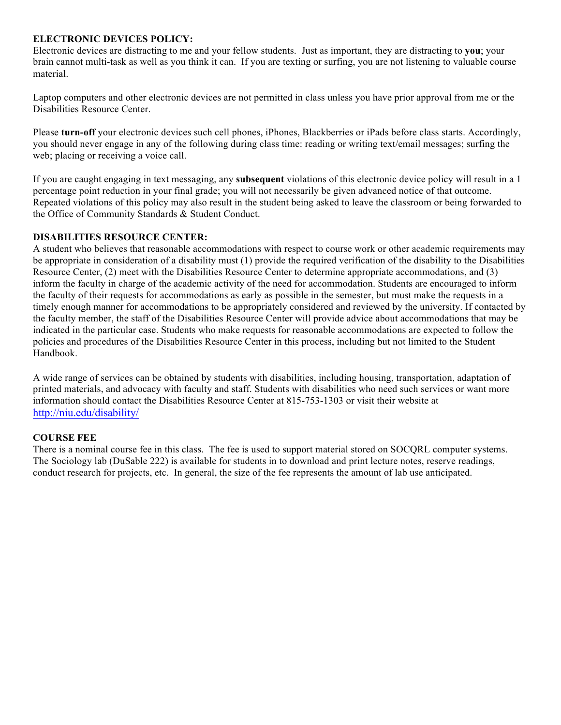#### **ELECTRONIC DEVICES POLICY:**

Electronic devices are distracting to me and your fellow students. Just as important, they are distracting to **you**; your brain cannot multi-task as well as you think it can. If you are texting or surfing, you are not listening to valuable course material.

Laptop computers and other electronic devices are not permitted in class unless you have prior approval from me or the Disabilities Resource Center.

Please **turn-off** your electronic devices such cell phones, iPhones, Blackberries or iPads before class starts. Accordingly, you should never engage in any of the following during class time: reading or writing text/email messages; surfing the web; placing or receiving a voice call.

If you are caught engaging in text messaging, any **subsequent** violations of this electronic device policy will result in a 1 percentage point reduction in your final grade; you will not necessarily be given advanced notice of that outcome. Repeated violations of this policy may also result in the student being asked to leave the classroom or being forwarded to the Office of Community Standards & Student Conduct.

#### **DISABILITIES RESOURCE CENTER:**

A student who believes that reasonable accommodations with respect to course work or other academic requirements may be appropriate in consideration of a disability must (1) provide the required verification of the disability to the Disabilities Resource Center, (2) meet with the Disabilities Resource Center to determine appropriate accommodations, and (3) inform the faculty in charge of the academic activity of the need for accommodation. Students are encouraged to inform the faculty of their requests for accommodations as early as possible in the semester, but must make the requests in a timely enough manner for accommodations to be appropriately considered and reviewed by the university. If contacted by the faculty member, the staff of the Disabilities Resource Center will provide advice about accommodations that may be indicated in the particular case. Students who make requests for reasonable accommodations are expected to follow the policies and procedures of the Disabilities Resource Center in this process, including but not limited to the Student Handbook.

A wide range of services can be obtained by students with disabilities, including housing, transportation, adaptation of printed materials, and advocacy with faculty and staff. Students with disabilities who need such services or want more information should contact the Disabilities Resource Center at 815-753-1303 or visit their website at http://niu.edu/disability/

# **COURSE FEE**

There is a nominal course fee in this class. The fee is used to support material stored on SOCQRL computer systems. The Sociology lab (DuSable 222) is available for students in to download and print lecture notes, reserve readings, conduct research for projects, etc. In general, the size of the fee represents the amount of lab use anticipated.